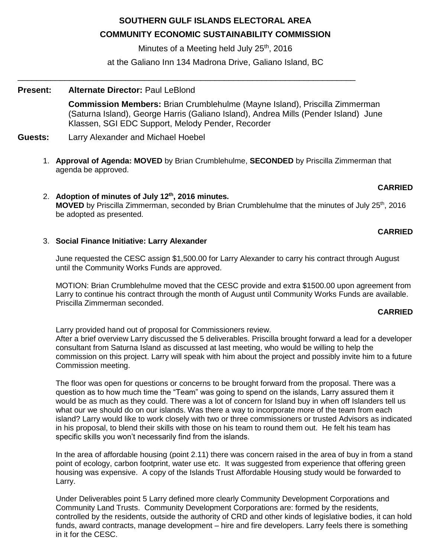# **SOUTHERN GULF ISLANDS ELECTORAL AREA**

# **COMMUNITY ECONOMIC SUSTAINABILITY COMMISSION**

Minutes of a Meeting held July  $25<sup>th</sup>$ , 2016

at the Galiano Inn 134 Madrona Drive, Galiano Island, BC

\_\_\_\_\_\_\_\_\_\_\_\_\_\_\_\_\_\_\_\_\_\_\_\_\_\_\_\_\_\_\_\_\_\_\_\_\_\_\_\_\_\_\_\_\_\_\_\_\_\_\_\_\_\_\_\_\_\_\_\_\_\_\_\_\_\_\_\_\_\_\_\_

## **Present: Alternate Director:** Paul LeBlond

**Commission Members:** Brian Crumblehulme (Mayne Island), Priscilla Zimmerman (Saturna Island), George Harris (Galiano Island), Andrea Mills (Pender Island) June Klassen, SGI EDC Support, Melody Pender, Recorder

### **Guests:** Larry Alexander and Michael Hoebel

1. **Approval of Agenda: MOVED** by Brian Crumblehulme, **SECONDED** by Priscilla Zimmerman that agenda be approved.

## **CARRIED**

2. **Adoption of minutes of July 12th, 2016 minutes. MOVED** by Priscilla Zimmerman, seconded by Brian Crumblehulme that the minutes of July 25<sup>th</sup>, 2016 be adopted as presented.

## **CARRIED**

### 3. **Social Finance Initiative: Larry Alexander**

June requested the CESC assign \$1,500.00 for Larry Alexander to carry his contract through August until the Community Works Funds are approved.

MOTION: Brian Crumblehulme moved that the CESC provide and extra \$1500.00 upon agreement from Larry to continue his contract through the month of August until Community Works Funds are available. Priscilla Zimmerman seconded.

### **CARRIED**

Larry provided hand out of proposal for Commissioners review.

After a brief overview Larry discussed the 5 deliverables. Priscilla brought forward a lead for a developer consultant from Saturna Island as discussed at last meeting, who would be willing to help the commission on this project. Larry will speak with him about the project and possibly invite him to a future Commission meeting.

The floor was open for questions or concerns to be brought forward from the proposal. There was a question as to how much time the "Team" was going to spend on the islands, Larry assured them it would be as much as they could. There was a lot of concern for Island buy in when off Islanders tell us what our we should do on our islands. Was there a way to incorporate more of the team from each island? Larry would like to work closely with two or three commissioners or trusted Advisors as indicated in his proposal, to blend their skills with those on his team to round them out. He felt his team has specific skills you won't necessarily find from the islands.

In the area of affordable housing (point 2.11) there was concern raised in the area of buy in from a stand point of ecology, carbon footprint, water use etc. It was suggested from experience that offering green housing was expensive. A copy of the Islands Trust Affordable Housing study would be forwarded to Larry.

Under Deliverables point 5 Larry defined more clearly Community Development Corporations and Community Land Trusts. Community Development Corporations are: formed by the residents, controlled by the residents, outside the authority of CRD and other kinds of legislative bodies, it can hold funds, award contracts, manage development – hire and fire developers. Larry feels there is something in it for the CESC.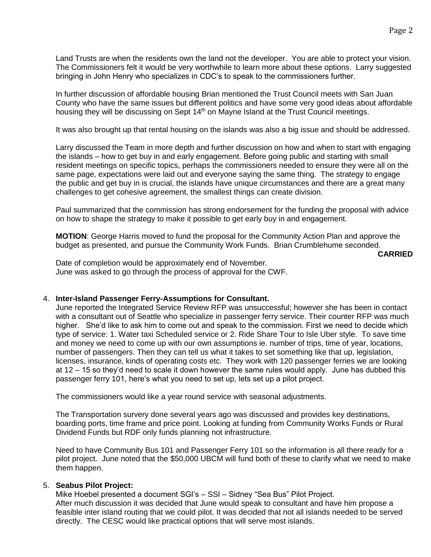Land Trusts are when the residents own the land not the developer. You are able to protect your vision. The Commissioners felt it would be very worthwhile to learn more about these options. Larry suggested bringing in John Henry who specializes in CDC's to speak to the commissioners further.

In further discussion of affordable housing Brian mentioned the Trust Council meets with San Juan County who have the same issues but different politics and have some very good ideas about affordable housing they will be discussing on Sept 14<sup>th</sup> on Mayne Island at the Trust Council meetings.

It was also brought up that rental housing on the islands was also a big issue and should be addressed.

Larry discussed the Team in more depth and further discussion on how and when to start with engaging the islands – how to get buy in and early engagement. Before going public and starting with small resident meetings on specific topics, perhaps the commissioners needed to ensure they were all on the same page, expectations were laid out and everyone saying the same thing. The strategy to engage the public and get buy in is crucial, the islands have unique circumstances and there are a great many challenges to get cohesive agreement, the smallest things can create division.

Paul summarized that the commission has strong endorsement for the funding the proposal with advice on how to shape the strategy to make it possible to get early buy in and engagement.

**MOTION**: George Harris moved to fund the proposal for the Community Action Plan and approve the budget as presented, and pursue the Community Work Funds. Brian Crumblehume seconded.

**CARRIED**

Date of completion would be approximately end of November. June was asked to go through the process of approval for the CWF.

#### 4. **Inter-Island Passenger Ferry-Assumptions for Consultant.**

June reported the Integrated Service Review RFP was unsuccessful; however she has been in contact with a consultant out of Seattle who specialize in passenger ferry service. Their counter RFP was much higher. She'd like to ask him to come out and speak to the commission. First we need to decide which type of service: 1. Water taxi Scheduled service or 2. Ride Share Tour to Isle Uber style. To save time and money we need to come up with our own assumptions ie. number of trips, time of year, locations, number of passengers. Then they can tell us what it takes to set something like that up, legislation, licenses, insurance, kinds of operating costs etc. They work with 120 passenger ferries we are looking at 12 – 15 so they'd need to scale it down however the same rules would apply. June has dubbed this passenger ferry 101, here's what you need to set up, lets set up a pilot project.

The commissioners would like a year round service with seasonal adjustments.

The Transportation survery done several years ago was discussed and provides key destinations, boarding ports, time frame and price point. Looking at funding from Community Works Funds or Rural Dividend Funds but RDF only funds planning not infrastructure.

Need to have Community Bus 101 and Passenger Ferry 101 so the information is all there ready for a pilot project. June noted that the \$50,000 UBCM will fund both of these to clarify what we need to make them happen.

#### 5. **Seabus Pilot Project:**

Mike Hoebel presented a document SGI's – SSI – Sidney "Sea Bus" Pilot Project. After much discussion it was decided that June would speak to consultant and have him propose a feasible inter island routing that we could pilot. It was decided that not all islands needed to be served directly. The CESC would like practical options that will serve most islands.